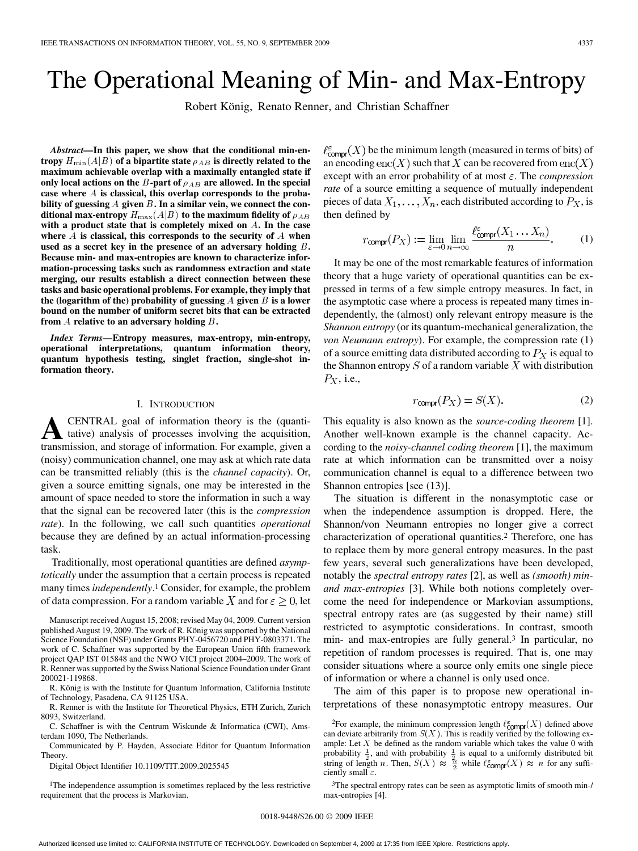# The Operational Meaning of Min- and Max-Entropy

Robert König, Renato Renner, and Christian Schaffner

*Abstract—***In this paper, we show that the conditional min-en**tropy  $H_{\min}(A|B)$  of a bipartite state  $\rho_{AB}$  is directly related to the **maximum achievable overlap with a maximally entangled state if** only local actions on the  $B$ -part of  $\rho_{AB}$  are allowed. In the special case where A is classical, this overlap corresponds to the probability of guessing  $A$  given  $B$ . In a similar vein, we connect the conditional max-entropy  $H_{\rm max}(A|B)$  to the maximum fidelity of  $\rho_{AB}$ with a product state that is completely mixed on A. In the case where  $A$  is classical, this corresponds to the security of  $A$  when **used as a secret key in the presence of an adversary holding . Because min- and max-entropies are known to characterize information-processing tasks such as randomness extraction and state merging, our results establish a direct connection between these tasks and basic operational problems. For example, they imply that** the (logarithm of the) probability of guessing  $A$  given  $B$  is a lower **bound on the number of uniform secret bits that can be extracted** from  $A$  relative to an adversary holding  $B$  .

*Index Terms—***Entropy measures, max-entropy, min-entropy, operational interpretations, quantum information theory, quantum hypothesis testing, singlet fraction, single-shot information theory.**

#### I. INTRODUCTION

**A**CENTRAL goal of information theory is the (quantitive) analysis of processes involving the acquisition, transmission, and storage of information. For example, given a (noisy) communication channel, one may ask at which rate data can be transmitted reliably (this is the *channel capacity*). Or, given a source emitting signals, one may be interested in the amount of space needed to store the information in such a way that the signal can be recovered later (this is the *compression rate*). In the following, we call such quantities *operational* because they are defined by an actual information-processing task.

Traditionally, most operational quantities are defined *asymptotically* under the assumption that a certain process is repeated many times *independently*.1 Consider, for example, the problem of data compression. For a random variable X and for  $\varepsilon > 0$ , let

Manuscript received August 15, 2008; revised May 04, 2009. Current version published August 19, 2009. The work of R. König was supported by the National Science Foundation (NSF) under Grants PHY-0456720 and PHY-0803371. The work of C. Schaffner was supported by the European Union fifth framework project QAP IST 015848 and the NWO VICI project 2004–2009. The work of R. Renner was supported by the Swiss National Science Foundation under Grant 200021-119868.

R. König is with the Institute for Quantum Information, California Institute of Technology, Pasadena, CA 91125 USA.

R. Renner is with the Institute for Theoretical Physics, ETH Zurich, Zurich 8093, Switzerland.

C. Schaffner is with the Centrum Wiskunde & Informatica (CWI), Amsterdam 1090, The Netherlands.

Communicated by P. Hayden, Associate Editor for Quantum Information Theory.

Digital Object Identifier 10.1109/TIT.2009.2025545

<sup>1</sup>The independence assumption is sometimes replaced by the less restrictive requirement that the process is Markovian.

 $\ell_{\text{compr}}^{\epsilon}(X)$  be the minimum length (measured in terms of bits) of an encoding enc $(X)$  such that X can be recovered from enc $(X)$ except with an error probability of at most  $\varepsilon$ . The *compression rate* of a source emitting a sequence of mutually independent pieces of data  $X_1, \ldots, X_n$ , each distributed according to  $P_X$ , is then defined by

$$
r_{\text{compr}}(P_X) := \lim_{\varepsilon \to 0} \lim_{n \to \infty} \frac{\ell_{\text{compr}}^{\varepsilon}(X_1 \dots X_n)}{n}.
$$
 (1)

It may be one of the most remarkable features of information theory that a huge variety of operational quantities can be expressed in terms of a few simple entropy measures. In fact, in the asymptotic case where a process is repeated many times independently, the (almost) only relevant entropy measure is the *Shannon entropy* (or its quantum-mechanical generalization, the *von Neumann entropy*). For example, the compression rate (1) of a source emitting data distributed according to  $P<sub>X</sub>$  is equal to the Shannon entropy  $S$  of a random variable  $X$  with distribution  $P_X$ , i.e.,

$$
r_{\text{compr}}(P_X) = S(X). \tag{2}
$$

This equality is also known as the *source-coding theorem* [1]. Another well-known example is the channel capacity. According to the *noisy-channel coding theorem* [1], the maximum rate at which information can be transmitted over a noisy communication channel is equal to a difference between two Shannon entropies [see (13)].

The situation is different in the nonasymptotic case or when the independence assumption is dropped. Here, the Shannon/von Neumann entropies no longer give a correct characterization of operational quantities.2 Therefore, one has to replace them by more general entropy measures. In the past few years, several such generalizations have been developed, notably the *spectral entropy rates* [2], as well as *(smooth) minand max-entropies* [3]. While both notions completely overcome the need for independence or Markovian assumptions, spectral entropy rates are (as suggested by their name) still restricted to asymptotic considerations. In contrast, smooth min- and max-entropies are fully general.3 In particular, no repetition of random processes is required. That is, one may consider situations where a source only emits one single piece of information or where a channel is only used once.

The aim of this paper is to propose new operational interpretations of these nonasymptotic entropy measures. Our

3The spectral entropy rates can be seen as asymptotic limits of smooth min-/ max-entropies [4].

<sup>&</sup>lt;sup>2</sup>For example, the minimum compression length  $\ell_{\text{compr}}^{\epsilon}(X)$  defined above can deviate arbitrarily from  $S(X)$ . This is readily verified by the following example: Let  $X$  be defined as the random variable which takes the value 0 with probability  $\frac{1}{2}$ , and with probability  $\frac{1}{2}$  is equal to a uniformly distributed bit string of length n. Then,  $S(X) \approx \frac{7}{2}$  while  $\ell_{\text{compr}}^*(X) \approx n$  for any sufficiently small  $\varepsilon$ .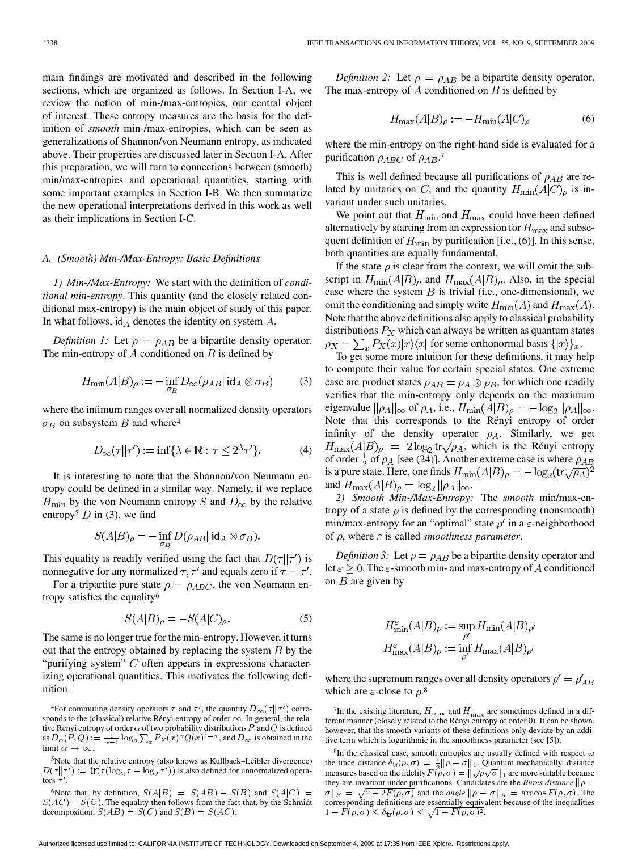main findings are motivated and described in the following sections, which are organized as follows. In Section I-A, we review the notion of min-/max-entropies, our central object of interest. These entropy measures are the basis for the definition of *smooth* min-/max-entropies, which can be seen as generalizations of Shannon/von Neumann entropy, as indicated above. Their properties are discussed later in Section I-A. After this preparation, we will turn to connections between (smooth) min/max-entropies and operational quantities, starting with some important examples in Section I-B. We then summarize the new operational interpretations derived in this work as well as their implications in Section I-C.

## *A. (Smooth) Min-/Max-Entropy: Basic Definitions*

*1) Min-/Max-Entropy:* We start with the definition of *conditional min-entropy*. This quantity (and the closely related conditional max-entropy) is the main object of study of this paper. In what follows,  $\mathsf{id}_A$  denotes the identity on system A.

*Definition 1:* Let  $\rho = \rho_{AB}$  be a bipartite density operator. The min-entropy of  $A$  conditioned on  $B$  is defined by

$$
H_{\min}(A|B)_{\rho} := -\inf_{\sigma_B} D_{\infty}(\rho_{AB}||\mathrm{id}_A \otimes \sigma_B) \tag{3}
$$

where the infimum ranges over all normalized density operators  $\sigma_B$  on subsystem B and where<sup>4</sup>

$$
D_{\infty}(\tau||\tau') := \inf \{ \lambda \in \mathbb{R} : \tau \le 2^{\lambda} \tau' \}. \tag{4}
$$

It is interesting to note that the Shannon/von Neumann entropy could be defined in a similar way. Namely, if we replace  $H_{\text{min}}$  by the von Neumann entropy S and  $D_{\infty}$  by the relative entropy<sup>5</sup> D in (3), we find

$$
S(A|B)_{\rho} = -\inf_{\sigma_B} D(\rho_{AB}||id_A \otimes \sigma_B).
$$

This equality is readily verified using the fact that  $D(\tau || \tau')$  is nonnegative for any normalized  $\tau$ ,  $\tau'$  and equals zero if  $\tau = \tau'$ .

For a tripartite pure state  $\rho = \rho_{ABC}$ , the von Neumann entropy satisfies the equality6

$$
S(A|B)_{\rho} = -S(A|C)_{\rho}.
$$
 (5)

The same is no longer true for the min-entropy. However, it turns out that the entropy obtained by replacing the system  $B$  by the "purifying system"  $C$  often appears in expressions characterizing operational quantities. This motivates the following definition.

<sup>6</sup>Note that, by definition,  $S(A|B) = S(AB) - S(B)$  and  $S(A|C) =$  $S(AC) - S(C)$ . The equality then follows from the fact that, by the Schmidt decomposition,  $S(AB) = S(C)$  and  $S(B) = S(AC)$ .

*Definition 2:* Let  $\rho = \rho_{AB}$  be a bipartite density operator. The max-entropy of  $A$  conditioned on  $B$  is defined by

$$
H_{\text{max}}(A|B)_{\rho} := -H_{\text{min}}(A|C)_{\rho} \tag{6}
$$

where the min-entropy on the right-hand side is evaluated for a purification  $\rho_{ABC}$  of  $\rho_{AB}$ .<sup>7</sup>

This is well defined because all purifications of  $\rho_{AB}$  are related by unitaries on C, and the quantity  $H_{\text{min}}(A|C)_{\rho}$  is invariant under such unitaries.

We point out that  $H_{\text{min}}$  and  $H_{\text{max}}$  could have been defined alternatively by starting from an expression for  $H_{\text{max}}$  and subsequent definition of  $H_{\text{min}}$  by purification [i.e., (6)]. In this sense, both quantities are equally fundamental.

If the state  $\rho$  is clear from the context, we will omit the subscript in  $H_{\text{min}}(A|B)_{\rho}$  and  $H_{\text{max}}(A|B)_{\rho}$ . Also, in the special case where the system  $B$  is trivial (i.e., one-dimensional), we omit the conditioning and simply write  $H_{\text{min}}(A)$  and  $H_{\text{max}}(A)$ . Note that the above definitions also apply to classical probability distributions  $P_X$  which can always be written as quantum states  $\rho_X = \sum_x P_X(x) |x\rangle\langle x|$  for some orthonormal basis  $\{|x\rangle\}_x$ .

To get some more intuition for these definitions, it may help to compute their value for certain special states. One extreme case are product states  $\rho_{AB} = \rho_A \otimes \rho_B$ , for which one readily verifies that the min-entropy only depends on the maximum eigenvalue  $\|\rho_A\|_{\infty}$  of  $\rho_A$ , i.e.,  $H_{\min}(A|B)_{\rho} = -\log_2 \|\rho_A\|_{\infty}$ . Note that this corresponds to the Rényi entropy of order infinity of the density operator  $\rho_A$ . Similarly, we get  $H_{\text{max}}(A|B)_{\rho} = 2\log_2 \text{tr}\sqrt{\rho_A}$ , which is the Rényi entropy of order  $\frac{1}{2}$  of  $\rho_A$  [see (24)]. Another extreme case is where  $\rho_{AB}$ is a pure state. Here, one finds  $H_{\text{min}}(A|B)_{\rho} = -\log_2(\text{tr}\sqrt{\rho_A})^2$ and  $H_{\text{max}}(A|B)_{\rho} = \log_2 ||\rho_A||_{\infty}$ .

*2) Smooth Min-/Max-Entropy:* The *smooth* min/max-entropy of a state  $\rho$  is defined by the corresponding (nonsmooth) min/max-entropy for an "optimal" state  $\rho'$  in a  $\varepsilon$ -neighborhood of  $\rho$ , where  $\varepsilon$  is called *smoothness parameter*.

*Definition 3:* Let  $\rho = \rho_{AB}$  be a bipartite density operator and let  $\varepsilon \geq 0$ . The  $\varepsilon$ -smooth min- and max-entropy of A conditioned on  $B$  are given by

$$
H_{\min}^{\varepsilon}(A|B)_{\rho} := \sup_{\rho'} H_{\min}(A|B)_{\rho'}
$$

$$
H_{\max}^{\varepsilon}(A|B)_{\rho} := \inf_{\rho'} H_{\max}(A|B)_{\rho'}
$$

where the supremum ranges over all density operators  $\rho' = \rho'_{AB}$ which are  $\varepsilon$ -close to  $\rho$ .<sup>8</sup>

<sup>7</sup>In the existing literature,  $H_{\text{max}}$  and  $H_{\text{max}}^{\varepsilon}$  are sometimes defined in a different manner (closely related to the Rényi entropy of order 0). It can be shown, however, that the smooth variants of these definitions only deviate by an additive term which is logarithmic in the smoothness parameter (see [5]).

8In the classical case, smooth entropies are usually defined with respect to the trace distance  $\delta_{tr}(\rho, \sigma) = \frac{1}{2} || \rho - \sigma ||_1$ . Quantum mechanically, distance measures based on the fidelity  $F(\rho, \sigma) = ||\sqrt{\rho} \sqrt{\sigma}||_1$  are more suitable because they are invariant under purifications. Candidates are the *Bures distance*  $\|\rho - \rho\|$  $\sigma \|_{B} = \sqrt{2 - 2F(\rho, \sigma)}$  and the *angle*  $\|\rho - \sigma\|_{A} = \arccos F(\rho, \sigma)$ . The corresponding definitions are essentially equivalent because of the inequalities  $1 - F(\rho, \sigma) \leq \delta_{\mathsf{tr}}(\rho, \sigma) \leq \sqrt{1 - F(\rho, \sigma)^2}.$ 

<sup>&</sup>lt;sup>4</sup>For commuting density operators  $\tau$  and  $\tau'$ , the quantity  $D_{\infty}(\tau || \tau')$  corresponds to the (classical) relative Rényi entropy of order  $\infty$ . In general, the relative Rényi entropy of order  $\alpha$  of two probability distributions P and Q is defined as  $D_{\alpha}(P,Q) := \frac{1}{\alpha-1} \log_2 \sum_{x} P_X(x)^{\alpha} Q(x)^{1-\alpha}$ , and  $D_{\infty}$  is obtained in the limit  $\alpha \to \infty$ .

<sup>5</sup>Note that the relative entropy (also knows as Kullback–Leibler divergence)  $D(\tau || \tau') := \text{tr}(\tau (\log_2 \tau - \log_2 \tau'))$  is also defined for unnormalized operators  $\tau'$ .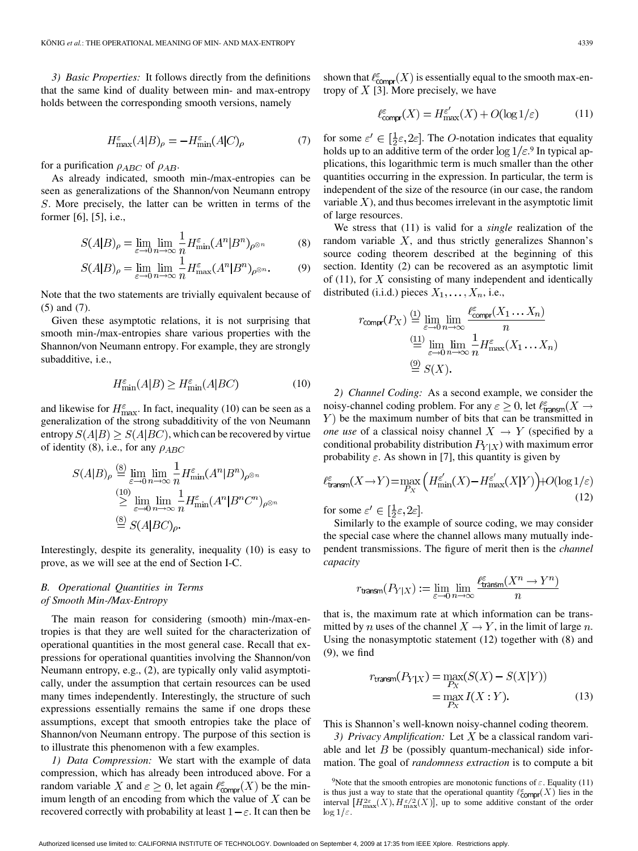*3) Basic Properties:* It follows directly from the definitions that the same kind of duality between min- and max-entropy holds between the corresponding smooth versions, namely

$$
H_{\text{max}}^{\varepsilon}(A|B)_{\rho} = -H_{\text{min}}^{\varepsilon}(A|C)_{\rho} \tag{7}
$$

for a purification  $\rho_{ABC}$  of  $\rho_{AB}$ .

As already indicated, smooth min-/max-entropies can be seen as generalizations of the Shannon/von Neumann entropy . More precisely, the latter can be written in terms of the former [6], [5], i.e.,

$$
S(A|B)_{\rho} = \lim_{\varepsilon \to 0} \lim_{n \to \infty} \frac{1}{n} H_{\min}^{\varepsilon} (A^n | B^n)_{\rho^{\otimes n}} \tag{8}
$$

$$
S(A|B)_{\rho} = \lim_{\varepsilon \to 0} \lim_{n \to \infty} \frac{1}{n} H_{\text{max}}^{\varepsilon} (A^n | B^n)_{\rho^{\otimes n}}.
$$
 (9)

Note that the two statements are trivially equivalent because of (5) and (7).

Given these asymptotic relations, it is not surprising that smooth min-/max-entropies share various properties with the Shannon/von Neumann entropy. For example, they are strongly subadditive, i.e.,

$$
H_{\min}^{\varepsilon}(A|B) \ge H_{\min}^{\varepsilon}(A|BC)
$$
 (10)

and likewise for  $H_{\text{max}}^{\varepsilon}$ . In fact, inequality (10) can be seen as a generalization of the strong subadditivity of the von Neumann entropy  $S(A|B) \geq S(A|BC)$ , which can be recovered by virtue of identity (8), i.e., for any  $\rho_{ABC}$ 

$$
S(A|B)_{\rho} \stackrel{\text{(8)}}{=} \lim_{\varepsilon \to 0} \lim_{n \to \infty} \frac{1}{n} H_{\min}^{\varepsilon} (A^n | B^n)_{\rho^{\otimes n}}
$$
  
\n
$$
\stackrel{\text{(10)}}{\geq} \lim_{\varepsilon \to 0} \lim_{n \to \infty} \frac{1}{n} H_{\min}^{\varepsilon} (A^n | B^n C^n)_{\rho^{\otimes n}}
$$
  
\n
$$
\stackrel{\text{(8)}}{=} S(A|BC)_{\rho}.
$$

Interestingly, despite its generality, inequality (10) is easy to prove, as we will see at the end of Section I-C.

## *B. Operational Quantities in Terms of Smooth Min-/Max-Entropy*

The main reason for considering (smooth) min-/max-entropies is that they are well suited for the characterization of operational quantities in the most general case. Recall that expressions for operational quantities involving the Shannon/von Neumann entropy, e.g., (2), are typically only valid asymptotically, under the assumption that certain resources can be used many times independently. Interestingly, the structure of such expressions essentially remains the same if one drops these assumptions, except that smooth entropies take the place of Shannon/von Neumann entropy. The purpose of this section is to illustrate this phenomenon with a few examples.

*1) Data Compression:* We start with the example of data compression, which has already been introduced above. For a random variable X and  $\varepsilon \geq 0$ , let again  $\ell_{\text{compr}}^{\varepsilon}(X)$  be the minimum length of an encoding from which the value of  $X$  can be recovered correctly with probability at least  $1 - \varepsilon$ . It can then be

shown that  $\ell_{\text{compr}}^{\varepsilon}(X)$  is essentially equal to the smooth max-entropy of  $X$  [3]. More precisely, we have

$$
\ell_{\text{compr}}^{\varepsilon}(X) = H_{\text{max}}^{\varepsilon'}(X) + O(\log 1/\varepsilon) \tag{11}
$$

for some  $\varepsilon' \in [\frac{1}{2}\varepsilon, 2\varepsilon]$ . The *O*-notation indicates that equality holds up to an additive term of the order  $\log 1/\varepsilon$ .<sup>9</sup> In typical applications, this logarithmic term is much smaller than the other quantities occurring in the expression. In particular, the term is independent of the size of the resource (in our case, the random variable  $X$ ), and thus becomes irrelevant in the asymptotic limit of large resources.

We stress that (11) is valid for a *single* realization of the random variable  $X$ , and thus strictly generalizes Shannon's source coding theorem described at the beginning of this section. Identity (2) can be recovered as an asymptotic limit of (11), for  $X$  consisting of many independent and identically distributed (i.i.d.) pieces  $X_1, \ldots, X_n$ , i.e.,

$$
r_{\text{compr}}(P_X) \stackrel{(1)}{=} \lim_{\varepsilon \to 0} \lim_{n \to \infty} \frac{\ell_{\text{compr}}^{\varepsilon}(X_1 \dots X_n)}{n}
$$

$$
\stackrel{(11)}{=} \lim_{\varepsilon \to 0} \lim_{n \to \infty} \frac{1}{n} H_{\text{max}}^{\varepsilon}(X_1 \dots X_n)
$$

$$
\stackrel{(9)}{=} S(X).
$$

*2) Channel Coding:* As a second example, we consider the noisy-channel coding problem. For any  $\varepsilon \geq 0$ , let  $\ell_{\text{transm}}^{\varepsilon}(X \to$  $Y$ ) be the maximum number of bits that can be transmitted in *one use* of a classical noisy channel  $X \rightarrow Y$  (specified by a conditional probability distribution  $P_{Y|X}$ ) with maximum error probability  $\varepsilon$ . As shown in [7], this quantity is given by

$$
\ell_{\text{transm}}^{\varepsilon}(X \to Y) = \max_{P_X} \left( H_{\min}^{\varepsilon'}(X) - H_{\max}^{\varepsilon'}(X|Y) \right) + O(\log 1/\varepsilon)
$$
\n(12)

for some  $\varepsilon' \in [\frac{1}{2}\varepsilon, 2\varepsilon]$ .

Similarly to the example of source coding, we may consider the special case where the channel allows many mutually independent transmissions. The figure of merit then is the *channel capacity*

$$
r_{\mathrm{transm}}(P_{Y|X}) := \lim_{\varepsilon \to 0} \lim_{n \to \infty} \frac{\ell_{\mathrm{transm}}^{\varepsilon}(X^n \to Y^n)}{n}
$$

that is, the maximum rate at which information can be transmitted by *n* uses of the channel  $X \to Y$ , in the limit of large *n*. Using the nonasymptotic statement (12) together with (8) and (9), we find

$$
r_{\text{transm}}(P_{Y|X}) = \max_{P_X} (S(X) - S(X|Y))
$$

$$
= \max_{P_X} I(X:Y).
$$
(13)

This is Shannon's well-known noisy-channel coding theorem.

*3) Privacy Amplification:* Let  $X$  be a classical random variable and let  $B$  be (possibly quantum-mechanical) side information. The goal of *randomness extraction* is to compute a bit

<sup>9</sup>Note that the smooth entropies are monotonic functions of  $\varepsilon$ . Equality (11) is thus just a way to state that the operational quantity  $\ell_{\text{COMPP}}^{\varepsilon}(X)$  lies in the interval  $[H_{\text{max}}^{2\varepsilon}(X), H_{\text{max}}^{\varepsilon/2}(X)]$ , up to some additive constant of the order  $\log 1/\varepsilon$ .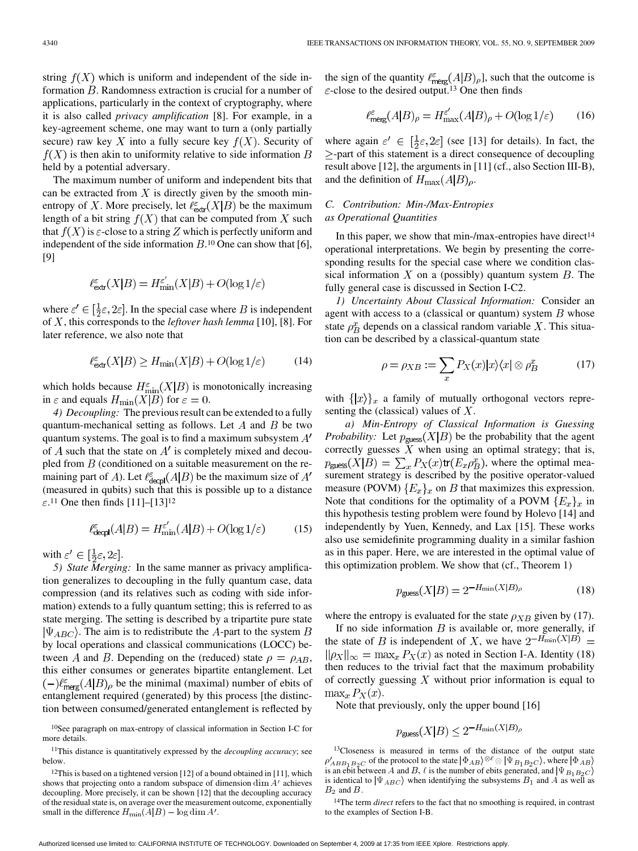string  $f(X)$  which is uniform and independent of the side information  $B$ . Randomness extraction is crucial for a number of applications, particularly in the context of cryptography, where it is also called *privacy amplification* [8]. For example, in a key-agreement scheme, one may want to turn a (only partially secure) raw key X into a fully secure key  $f(X)$ . Security of  $f(X)$  is then akin to uniformity relative to side information B held by a potential adversary.

The maximum number of uniform and independent bits that can be extracted from  $X$  is directly given by the smooth minentropy of X. More precisely, let  $\ell_{\text{extr}}^{\varepsilon}(X|B)$  be the maximum length of a bit string  $f(X)$  that can be computed from X such that  $f(X)$  is  $\varepsilon$ -close to a string Z which is perfectly uniform and independent of the side information  $B<sup>10</sup>$  One can show that [6], [9]

$$
\ell_{\mathsf{extr}}^\varepsilon(X|B) = H_{\min}^{\varepsilon'}(X|B) + O(\log 1/\varepsilon)
$$

where  $\varepsilon' \in [\frac{1}{2}\varepsilon, 2\varepsilon]$ . In the special case where B is independent of  $X$ , this corresponds to the *leftover hash lemma* [10], [8]. For later reference, we also note that

$$
\ell_{\text{extr}}^{\varepsilon}(X|B) \ge H_{\min}(X|B) + O(\log 1/\varepsilon) \tag{14}
$$

which holds because  $H_{\text{min}}^{\varepsilon}(X|B)$  is monotonically increasing in  $\varepsilon$  and equals  $H_{\text{min}}(X|B)$  for  $\varepsilon = 0$ .

*4) Decoupling:* The previous result can be extended to a fully quantum-mechanical setting as follows. Let  $A$  and  $B$  be two quantum systems. The goal is to find a maximum subsystem  $A'$ of A such that the state on  $A'$  is completely mixed and decoupled from  $B$  (conditioned on a suitable measurement on the remaining part of A). Let  $\ell_{\text{decol}}^{\varepsilon}(A|B)$  be the maximum size of  $A'$ (measured in qubits) such that this is possible up to a distance  $\varepsilon$ .<sup>11</sup> One then finds [11]–[13]<sup>12</sup>

$$
\ell_{\text{decpl}}^{\varepsilon}(A|B) = H_{\text{min}}^{\varepsilon'}(A|B) + O(\log 1/\varepsilon) \tag{15}
$$

with  $\varepsilon' \in [\frac{1}{2}\varepsilon, 2\varepsilon]$ .

*5) State Merging:* In the same manner as privacy amplification generalizes to decoupling in the fully quantum case, data compression (and its relatives such as coding with side information) extends to a fully quantum setting; this is referred to as state merging. The setting is described by a tripartite pure state  $|\Psi_{ABC}\rangle$ . The aim is to redistribute the A-part to the system B by local operations and classical communications (LOCC) between A and B. Depending on the (reduced) state  $\rho = \rho_{AB}$ , this either consumes or generates bipartite entanglement. Let  $\left(-\right)^{\ell_{\text{merg}}}(A|B)_{\rho}$  be the minimal (maximal) number of ebits of entanglement required (generated) by this process [the distinction between consumed/generated entanglement is reflected by

the sign of the quantity  $\ell_{\rm merg}^{\epsilon}(A|B)_{\rho}$ , such that the outcome is  $\varepsilon$ -close to the desired output.<sup>13</sup> One then finds

$$
\ell_{\text{merg}}^{\varepsilon}(A|B)_{\rho} = H_{\text{max}}^{\varepsilon'}(A|B)_{\rho} + O(\log 1/\varepsilon) \tag{16}
$$

where again  $\varepsilon' \in [\frac{1}{2}\varepsilon, 2\varepsilon]$  (see [13] for details). In fact, the  $\ge$ -part of this statement is a direct consequence of decoupling result above [12], the arguments in [11] (cf., also Section III-B), and the definition of  $H_{\text{max}}(A|B)_{\rho}$ .

# *C. Contribution: Min-/Max-Entropies as Operational Quantities*

In this paper, we show that min- $/max$ -entropies have direct<sup>14</sup> operational interpretations. We begin by presenting the corresponding results for the special case where we condition classical information X on a (possibly) quantum system  $B$ . The fully general case is discussed in Section I-C2.

*1) Uncertainty About Classical Information:* Consider an agent with access to a (classical or quantum) system  $B$  whose state  $\rho_R^x$  depends on a classical random variable X. This situation can be described by a classical-quantum state

$$
\rho = \rho_{XB} := \sum_{x} P_X(x) |x\rangle\langle x| \otimes \rho_B^x \tag{17}
$$

with  $\{|x\rangle\}_x$  a family of mutually orthogonal vectors representing the (classical) values of  $X$ .

*a) Min-Entropy of Classical Information is Guessing Probability:* Let  $p_{\text{guess}}(X|B)$  be the probability that the agent correctly guesses  $X$  when using an optimal strategy; that is,  $p_{\text{guess}}(X|B) = \sum_{x} P_X(x) \text{tr}(E_x \rho_B^x)$ , where the optimal measurement strategy is described by the positive operator-valued measure (POVM)  ${E_x}_x$  on B that maximizes this expression. Note that conditions for the optimality of a POVM  ${E_x}_x$  in this hypothesis testing problem were found by Holevo [14] and independently by Yuen, Kennedy, and Lax [15]. These works also use semidefinite programming duality in a similar fashion as in this paper. Here, we are interested in the optimal value of this optimization problem. We show that (cf., Theorem 1)

$$
p_{\text{guess}}(X|B) = 2^{-H_{\min}(X|B)_{\rho}} \tag{18}
$$

where the entropy is evaluated for the state  $\rho_{XB}$  given by (17).

If no side information  $B$  is available or, more generally, if the state of B is independent of X, we have  $2^{-H_{\min}(X|B)} =$  $\|\rho_X\|_{\infty} = \max_x P_X(x)$  as noted in Section I-A. Identity (18) then reduces to the trivial fact that the maximum probability of correctly guessing  $X$  without prior information is equal to  $\max_x P_X(x)$ .

Note that previously, only the upper bound [16]

$$
p_{\text{guess}}(X|B) \le 2^{-H_{\min}(X|B)_{\rho}}
$$

<sup>10</sup>See paragraph on max-entropy of classical information in Section I-C for more details.

<sup>11</sup>This distance is quantitatively expressed by the *decoupling accuracy*; see below.

<sup>12</sup>This is based on a tightened version [12] of a bound obtained in [11], which shows that projecting onto a random subspace of dimension  $\dim A'$  achieves decoupling. More precisely, it can be shown [12] that the decoupling accuracy of the residual state is, on average over the measurement outcome, exponentially small in the difference  $H_{\text{min}}(A|B) - \log \dim A'$ .

<sup>13</sup>Closeness is measured in terms of the distance of the output state  $\phi'_{ABB_1B_2C}$  of the protocol to the state  $|\Phi_{AB}\rangle^{\otimes\ell}\otimes|\Psi_{B_1B_2C}\rangle$ , where  $|\Phi_{AB}\rangle$ is an ebit between A and B,  $\ell$  is the number of ebits generated, and  $|\Psi_{B_1B_2C}\rangle$ is identical to  $|\Psi_{ABC}\rangle$  when identifying the subsystems  $B_1$  and A as well as  $B_2$  and  $B$ .

<sup>14</sup>The term *direct* refers to the fact that no smoothing is required, in contrast to the examples of Section I-B.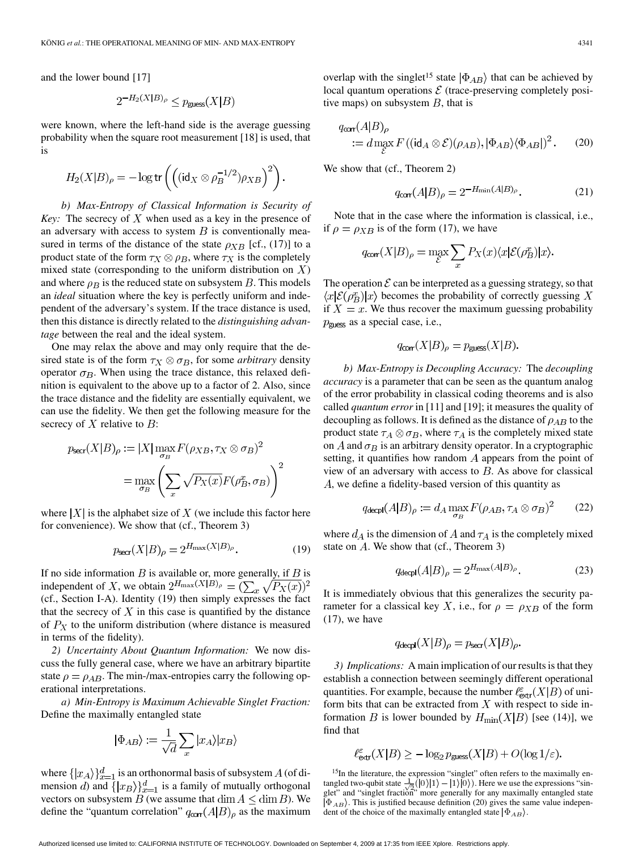and the lower bound [17]

$$
2^{-H_2(X|B)_{\rho}} \le p_{\text{guess}}(X|B)
$$

were known, where the left-hand side is the average guessing probability when the square root measurement [18] is used, that is

$$
H_2(X|B)_{\rho} = -\log \text{tr}\left(\left((\text{id}_X \otimes \rho_B^{-1/2})\rho_{XB}\right)^2\right).
$$

*b) Max-Entropy of Classical Information is Security of Key:* The secrecy of  $X$  when used as a key in the presence of an adversary with access to system  $B$  is conventionally measured in terms of the distance of the state  $\rho_{XB}$  [cf., (17)] to a product state of the form  $\tau_X \otimes \rho_B$ , where  $\tau_X$  is the completely mixed state (corresponding to the uniform distribution on  $X$ ) and where  $\rho_B$  is the reduced state on subsystem B. This models an *ideal* situation where the key is perfectly uniform and independent of the adversary's system. If the trace distance is used, then this distance is directly related to the *distinguishing advantage* between the real and the ideal system.

One may relax the above and may only require that the desired state is of the form  $\tau_X \otimes \sigma_B$ , for some *arbitrary* density operator  $\sigma_B$ . When using the trace distance, this relaxed definition is equivalent to the above up to a factor of 2. Also, since the trace distance and the fidelity are essentially equivalent, we can use the fidelity. We then get the following measure for the secrecy of  $X$  relative to  $B$ :

$$
p_{\text{secr}}(X|B)_{\rho} := |X| \max_{\sigma_B} F(\rho_{XB}, \tau_X \otimes \sigma_B)^2
$$

$$
= \max_{\sigma_B} \left( \sum_x \sqrt{P_X(x)} F(\rho_B^x, \sigma_B) \right)^2
$$

where  $|X|$  is the alphabet size of X (we include this factor here for convenience). We show that (cf., Theorem 3)

$$
p_{\text{secr}}(X|B)_{\rho} = 2^{H_{\text{max}}(X|B)_{\rho}}.
$$
 (19)

If no side information  $B$  is available or, more generally, if  $B$  is independent of X, we obtain  $2^{H_{\text{max}}(X|B)_{\rho}} = (\sum_{x} \sqrt{P_X(x)})^2$ (cf., Section I-A). Identity (19) then simply expresses the fact that the secrecy of  $X$  in this case is quantified by the distance of  $P_X$  to the uniform distribution (where distance is measured in terms of the fidelity).

*2) Uncertainty About Quantum Information:* We now discuss the fully general case, where we have an arbitrary bipartite state  $\rho = \rho_{AB}$ . The min-/max-entropies carry the following operational interpretations.

*a) Min-Entropy is Maximum Achievable Singlet Fraction:* Define the maximally entangled state

$$
|\Phi_{AB}\rangle := \frac{1}{\sqrt{d}} \sum_{x} |x_A\rangle |x_B\rangle
$$

where  $\{|x_A\rangle\}_{x=1}^d$  is an orthonormal basis of subsystem A (of dimension d) and  $\{|x_B\rangle\}_{x=1}^d$  is a family of mutually orthogonal vectors on subsystem  $B$  (we assume that  $\dim A \leq \dim B$ ). We define the "quantum correlation"  $q_{\text{corr}}(A|B)_{\rho}$  as the maximum overlap with the singlet<sup>15</sup> state  $|\Phi_{AB}\rangle$  that can be achieved by local quantum operations  $\mathcal E$  (trace-preserving completely positive maps) on subsystem  $B$ , that is

$$
q_{\text{corr}}(A|B)_{\rho}
$$
  
 :=  $d \max_{\mathcal{E}} F((\text{id}_A \otimes \mathcal{E})(\rho_{AB}), |\Phi_{AB}\rangle \langle \Phi_{AB}|)^2$ . (20)

We show that (cf., Theorem 2)

$$
q_{\text{corr}}(A|B)_{\rho} = 2^{-H_{\text{min}}(A|B)_{\rho}}.
$$
 (21)

Note that in the case where the information is classical, i.e., if  $\rho = \rho_{XB}$  is of the form (17), we have

$$
q_{\text{corr}}(X|B)_{\rho} = \max_{\mathcal{E}} \sum_{x} P_X(x) \langle x | \mathcal{E}(\rho_B^x) | x \rangle.
$$

The operation  $\mathcal E$  can be interpreted as a guessing strategy, so that  $\langle x|\mathcal{E}(\rho_B^x)|x\rangle$  becomes the probability of correctly guessing X if  $X = x$ . We thus recover the maximum guessing probability  $p_{\text{guess}}$  as a special case, i.e.,

$$
q_{\text{corr}}(X|B)_{\rho} = p_{\text{guess}}(X|B)
$$

*b) Max-Entropy is Decoupling Accuracy:* The *decoupling accuracy* is a parameter that can be seen as the quantum analog of the error probability in classical coding theorems and is also called *quantum error* in [11] and [19]; it measures the quality of decoupling as follows. It is defined as the distance of  $\rho_{AB}$  to the product state  $\tau_A \otimes \sigma_B$ , where  $\tau_A$  is the completely mixed state on  $A$  and  $\sigma_B$  is an arbitrary density operator. In a cryptographic setting, it quantifies how random  $A$  appears from the point of view of an adversary with access to  $B$ . As above for classical , we define a fidelity-based version of this quantity as

$$
q_{\text{deep}}(A|B)_{\rho} := d_A \max_{\sigma_B} F(\rho_{AB}, \tau_A \otimes \sigma_B)^2 \qquad (22)
$$

where  $d_A$  is the dimension of A and  $\tau_A$  is the completely mixed state on  $A$ . We show that (cf., Theorem 3)

$$
q_{\text{decpl}}(A|B)_{\rho} = 2^{H_{\text{max}}(A|B)_{\rho}}.\tag{23}
$$

It is immediately obvious that this generalizes the security parameter for a classical key X, i.e., for  $\rho = \rho_{XB}$  of the form  $(17)$ , we have

$$
q_{\text{decpl}}(X|B)_{\rho} = p_{\text{secr}}(X|B)_{\rho}.
$$

*3) Implications:* A main implication of our results is that they establish a connection between seemingly different operational quantities. For example, because the number  $\ell_{\text{extr}}^{\varepsilon}(X|B)$  of uniform bits that can be extracted from  $X$  with respect to side information B is lower bounded by  $H_{\text{min}}(X|B)$  [see (14)], we find that

$$
\ell_{\text{extr}}^{\varepsilon}(X|B) \ge -\log_2 p_{\text{guess}}(X|B) + O(\log 1/\varepsilon).
$$

<sup>15</sup>In the literature, the expression "singlet" often refers to the maximally entangled two-qubit state  $\frac{1}{\sqrt{2}}(|0\rangle|1\rangle-|1\rangle|0\rangle)$ . Here we use the expressions "singlet" and "singlet fraction" more generally for any maximally entangled state  $|\Phi_{AB}\rangle$ . This is justified because definition (20) gives the same value independent of the choice of the maximally entangled state  $|\Phi_{AB}\rangle$ .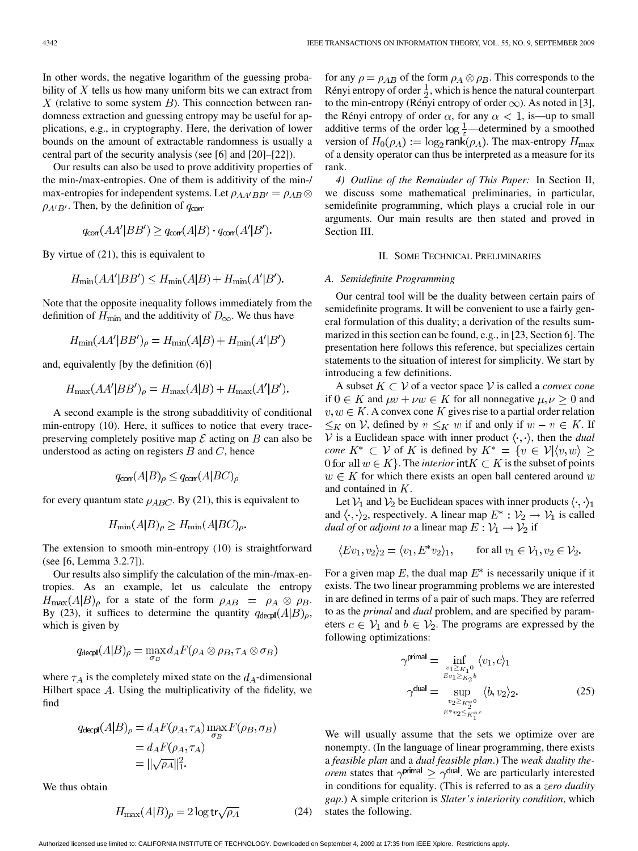In other words, the negative logarithm of the guessing probability of  $X$  tells us how many uniform bits we can extract from X (relative to some system  $B$ ). This connection between randomness extraction and guessing entropy may be useful for applications, e.g., in cryptography. Here, the derivation of lower bounds on the amount of extractable randomness is usually a central part of the security analysis (see [6] and [20]–[22]).

Our results can also be used to prove additivity properties of the min-/max-entropies. One of them is additivity of the min-/ max-entropies for independent systems. Let  $\rho_{AA'BB'} = \rho_{AB} \otimes$  $\rho_{A'B'}$ . Then, by the definition of  $q_{\text{corr}}$ 

$$
q_{\text{corr}}(AA'|BB') \geq q_{\text{corr}}(A|B) \cdot q_{\text{corr}}(A'|B').
$$

By virtue of (21), this is equivalent to

$$
H_{\min}(AA'|BB') \le H_{\min}(A|B) + H_{\min}(A'|B').
$$

Note that the opposite inequality follows immediately from the definition of  $H_{\text{min}}$  and the additivity of  $D_{\infty}$ . We thus have

$$
H_{\min}(AA'|BB')_{\rho} = H_{\min}(A|B) + H_{\min}(A'|B')
$$

and, equivalently [by the definition (6)]

$$
H_{\text{max}}(AA'|BB')_{\rho} = H_{\text{max}}(A|B) + H_{\text{max}}(A'|B').
$$

A second example is the strong subadditivity of conditional min-entropy (10). Here, it suffices to notice that every tracepreserving completely positive map  $\mathcal E$  acting on  $B$  can also be understood as acting on registers  $B$  and  $C$ , hence

$$
q_{\text{corr}}(A|B)_{\rho} \le q_{\text{corr}}(A|BC)_{\rho}
$$

for every quantum state  $\rho_{ABC}$ . By (21), this is equivalent to

$$
H_{\min}(A|B)_{\rho} \ge H_{\min}(A|BC)_{\rho}
$$

The extension to smooth min-entropy (10) is straightforward (see [6, Lemma 3.2.7]).

Our results also simplify the calculation of the min-/max-entropies. As an example, let us calculate the entropy  $H_{\text{max}}(A|B)_{\rho}$  for a state of the form  $\rho_{AB} = \rho_A \otimes \rho_B$ . By (23), it suffices to determine the quantity  $q_{\text{decpl}}(A|B)_{\rho}$ , which is given by

$$
q_{\mathsf{decpl}}(A|B)_{\rho} = \max_{\sigma_B} d_A F(\rho_A \otimes \rho_B, \tau_A \otimes \sigma_B)
$$

where  $\tau_A$  is the completely mixed state on the  $d_A$ -dimensional Hilbert space  $A$ . Using the multiplicativity of the fidelity, we find

$$
q_{\text{decpl}}(A|B)_{\rho} = d_A F(\rho_A, \tau_A) \max_{\sigma_B} F(\rho_B, \sigma_B)
$$
  
=  $d_A F(\rho_A, \tau_A)$   
=  $\|\sqrt{\rho_A}\|_1^2$ .

We thus obtain

$$
H_{\text{max}}(A|B)_{\rho} = 2\log \text{tr}\sqrt{\rho_A} \tag{24}
$$

for any  $\rho = \rho_{AB}$  of the form  $\rho_A \otimes \rho_B$ . This corresponds to the Rényi entropy of order  $\frac{1}{2}$ , which is hence the natural counterpart to the min-entropy (Rényi entropy of order  $\infty$ ). As noted in [3], the Rényi entropy of order  $\alpha$ , for any  $\alpha < 1$ , is—up to small additive terms of the order  $\log \frac{1}{f}$ —determined by a smoothed version of  $H_0(\rho_A) := \log_2 \text{rank}(\rho_A)$ . The max-entropy  $H_{\text{max}}$ of a density operator can thus be interpreted as a measure for its rank.

*4) Outline of the Remainder of This Paper:* In Section II, we discuss some mathematical preliminaries, in particular, semidefinite programming, which plays a crucial role in our arguments. Our main results are then stated and proved in Section III.

## II. SOME TECHNICAL PRELIMINARIES

#### *A. Semidefinite Programming*

Our central tool will be the duality between certain pairs of semidefinite programs. It will be convenient to use a fairly general formulation of this duality; a derivation of the results summarized in this section can be found, e.g., in [23, Section 6]. The presentation here follows this reference, but specializes certain statements to the situation of interest for simplicity. We start by introducing a few definitions.

A subset  $K \subset V$  of a vector space V is called a *convex cone* if  $0 \in K$  and  $\mu v + \nu w \in K$  for all nonnegative  $\mu, \nu \geq 0$  and  $v, w \in K$ . A convex cone K gives rise to a partial order relation  $\leq_K$  on V, defined by  $v \leq_K w$  if and only if  $w - v \in K$ . If  $V$  is a Euclidean space with inner product  $\langle \cdot, \cdot \rangle$ , then the *dual cone*  $K^* \subset V$  of K is defined by  $K^* = \{v \in V | \langle v, w \rangle \geq$ 0 for all  $w \in K$ . The *interior* int  $K \subset K$  is the subset of points  $w \in K$  for which there exists an open ball centered around w and contained in  $K$ .

Let  $V_1$  and  $V_2$  be Euclidean spaces with inner products  $\langle \cdot, \cdot \rangle_1$ and  $\langle \cdot, \cdot \rangle_2$ , respectively. A linear map  $E^* : \mathcal{V}_2 \to \mathcal{V}_1$  is called *dual of* or *adjoint to* a linear map  $E: V_1 \rightarrow V_2$  if

$$
\langle Ev_1, v_2 \rangle_2 = \langle v_1, E^* v_2 \rangle_1, \quad \text{for all } v_1 \in \mathcal{V}_1, v_2 \in \mathcal{V}_2.
$$

For a given map E, the dual map  $E^*$  is necessarily unique if it exists. The two linear programming problems we are interested in are defined in terms of a pair of such maps. They are referred to as the *primal* and *dual* problem, and are specified by parameters  $c \in V_1$  and  $b \in V_2$ . The programs are expressed by the following optimizations:

$$
\gamma^{\text{primal}} = \inf_{\substack{v_1 \geq \kappa_1 0 \\ Ev_1 \geq \kappa_2 b \\ v_2 \geq \kappa_2^{*0}}} \langle v_1, c \rangle_1
$$
\n
$$
\gamma^{\text{dual}} = \sup_{\substack{v_2 \geq \kappa_2^{*0} \\ E^* v_2 \leq \kappa_1^{*c}}} \langle b, v_2 \rangle_2. \tag{25}
$$

We will usually assume that the sets we optimize over are nonempty. (In the language of linear programming, there exists a *feasible plan* and a *dual feasible plan*.) The *weak duality theorem* states that  $\gamma^{\text{primal}} \geq \gamma^{\text{dual}}$ . We are particularly interested in conditions for equality. (This is referred to as a *zero duality gap*.) A simple criterion is *Slater's interiority condition*, which states the following.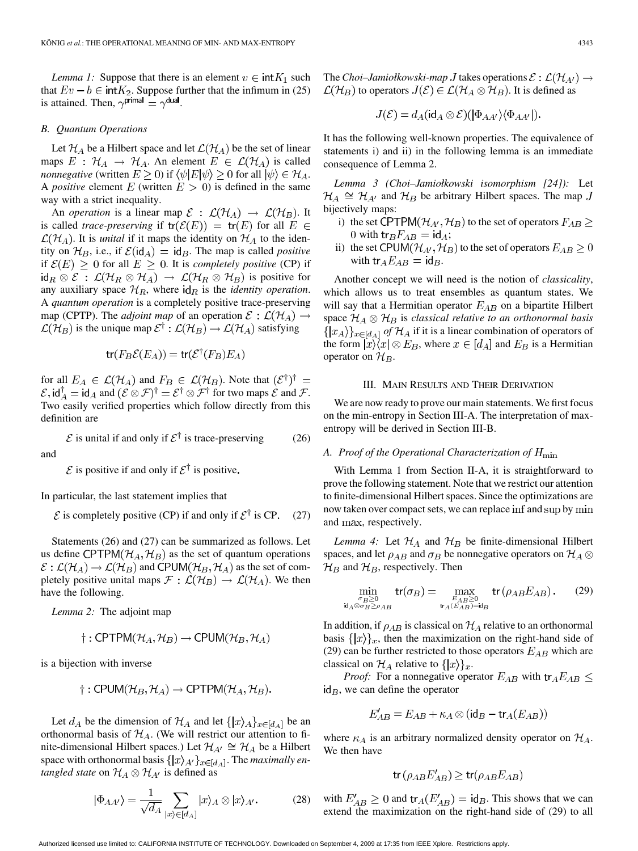*Lemma 1:* Suppose that there is an element  $v \in \text{int}K_1$  such that  $Ev - b \in \text{int}K_2$ . Suppose further that the infimum in (25) is attained. Then,  $\gamma^{\text{primal}} = \gamma^{\text{dual}}$ .

## *B. Quantum Operations*

Let  $\mathcal{H}_A$  be a Hilbert space and let  $\mathcal{L}(\mathcal{H}_A)$  be the set of linear maps  $E : H_A \to H_A$ . An element  $E \in \mathcal{L}(\mathcal{H}_A)$  is called *nonnegative* (written  $E \ge 0$ ) if  $\langle \psi | E | \psi \rangle \ge 0$  for all  $|\psi \rangle \in \mathcal{H}_A$ . A *positive* element  $E$  (written  $E > 0$ ) is defined in the same way with a strict inequality.

An *operation* is a linear map  $\mathcal{E} : \mathcal{L}(\mathcal{H}_A) \rightarrow \mathcal{L}(\mathcal{H}_B)$ . It is called *trace-preserving* if  $tr(\mathcal{E}(E)) = tr(E)$  for all  $E \in$  $\mathcal{L}(\mathcal{H}_A)$ . It is *unital* if it maps the identity on  $\mathcal{H}_A$  to the identity on  $\mathcal{H}_B$ , i.e., if  $\mathcal{E}(\text{id}_A) = \text{id}_B$ . The map is called *positive* if  $\mathcal{E}(E) \geq 0$  for all  $E \geq 0$ . It is *completely positive* (CP) if  $\mathrm{id}_R \otimes \mathcal{E} : \mathcal{L}(\mathcal{H}_R \otimes \mathcal{H}_A) \to \mathcal{L}(\mathcal{H}_R \otimes \mathcal{H}_B)$  is positive for any auxiliary space  $\mathcal{H}_R$ , where  $\mathsf{id}_R$  is the *identity operation*. A *quantum operation* is a completely positive trace-preserving map (CPTP). The *adjoint map* of an operation  $\mathcal{E}: \mathcal{L}(\mathcal{H}_A) \rightarrow$  $\mathcal{L}(\mathcal{H}_B)$  is the unique map  $\mathcal{E}^{\dagger}$  :  $\mathcal{L}(\mathcal{H}_B) \rightarrow \mathcal{L}(\mathcal{H}_A)$  satisfying

$$
\text{tr}(F_B\mathcal{E}(E_A)) = \text{tr}(\mathcal{E}^\dagger(F_B)E_A)
$$

for all  $E_A \in \mathcal{L}(\mathcal{H}_A)$  and  $F_B \in \mathcal{L}(\mathcal{H}_B)$ . Note that  $(\mathcal{E}^{\dagger})^{\dagger}$  $\mathcal{E}, \mathrm{id}_{A}^{\dagger} = \mathrm{id}_{A}$  and  $(\mathcal{E} \otimes \mathcal{F})^{\dagger} = \mathcal{E}^{\dagger} \otimes \mathcal{F}^{\dagger}$  for two maps  $\mathcal{E}$  and  $\mathcal{F}$ . Two easily verified properties which follow directly from this definition are

 $\mathcal E$  is unital if and only if  $\mathcal E^{\dagger}$  is trace-preserving (26) and

 $\mathcal E$  is positive if and only if  $\mathcal E^{\dagger}$  is positive.

In particular, the last statement implies that

$$
\mathcal E
$$
 is completely positive (CP) if and only if  $\mathcal E^{\dagger}$  is CP. (27)

Statements (26) and (27) can be summarized as follows. Let us define CPTPM( $H_A$ ,  $H_B$ ) as the set of quantum operations  $\mathcal{E}: \mathcal{L}(\mathcal{H}_A) \to \mathcal{L}(\mathcal{H}_B)$  and CPUM( $\mathcal{H}_B$ ,  $\mathcal{H}_A$ ) as the set of completely positive unital maps  $\mathcal{F}: \mathcal{L}(\mathcal{H}_B) \to \mathcal{L}(\mathcal{H}_A)$ . We then have the following.

*Lemma 2:* The adjoint map

$$
\dagger: \text{CPTPM}(\mathcal{H}_A, \mathcal{H}_B) \rightarrow \text{CPUM}(\mathcal{H}_B, \mathcal{H}_A)
$$

is a bijection with inverse

$$
\dagger: \mathsf{CPUM}(\mathcal{H}_B, \mathcal{H}_A) \to \mathsf{CPTPM}(\mathcal{H}_A, \mathcal{H}_B).
$$

Let  $d_A$  be the dimension of  $\mathcal{H}_A$  and let  $\{ |x\rangle_A\}_{x \in [d_A]}$  be an orthonormal basis of  $\mathcal{H}_A$ . (We will restrict our attention to finite-dimensional Hilbert spaces.) Let  $\mathcal{H}_{A'} \cong \mathcal{H}_A$  be a Hilbert space with orthonormal basis  $\{|x\rangle_{A'}\}_{x\in[d_A]}$ . The *maximally entangled state* on  $\mathcal{H}_A \otimes \mathcal{H}_{A'}$  is defined as

$$
|\Phi_{AA'}\rangle = \frac{1}{\sqrt{d_A}} \sum_{|x\rangle \in [d_A]} |x\rangle_A \otimes |x\rangle_{A'}.
$$
 (28)

The *Choi–Jamiołkowski-map* J takes operations  $\mathcal{E} : \mathcal{L}(\mathcal{H}_{A'}) \rightarrow$  $\mathcal{L}(\mathcal{H}_B)$  to operators  $J(\mathcal{E}) \in \mathcal{L}(\mathcal{H}_A \otimes \mathcal{H}_B)$ . It is defined as

$$
J(\mathcal{E}) = d_A(\mathrm{id}_A \otimes \mathcal{E})(|\Phi_{AA'}\rangle \langle \Phi_{AA'}|).
$$

It has the following well-known properties. The equivalence of statements i) and ii) in the following lemma is an immediate consequence of Lemma 2.

*Lemma 3 (Choi–Jamiołkowski isomorphism [24]):* Let  $\mathcal{H}_A \cong \mathcal{H}_{A'}$  and  $\mathcal{H}_B$  be arbitrary Hilbert spaces. The map J bijectively maps:

- i) the set CPTPM( $\mathcal{H}_{A}, \mathcal{H}_{B}$ ) to the set of operators  $F_{AB} \geq$ 0 with  ${\rm tr}_B F_{AB} = {\rm id}_A$ ;
- ii) the set CPUM( $\mathcal{H}_{A}, \mathcal{H}_{B}$ ) to the set of operators  $E_{AB} \geq 0$ with  $\text{tr}_A E_{AB} = \text{id}_B$ .

Another concept we will need is the notion of *classicality*, which allows us to treat ensembles as quantum states. We will say that a Hermitian operator  $E_{AB}$  on a bipartite Hilbert space  $\mathcal{H}_A \otimes \mathcal{H}_B$  is *classical relative to an orthonormal basis*  $\{|x_A\rangle\}_{x \in [d_A]}$  *of*  $\mathcal{H}_A$  if it is a linear combination of operators of the form  $|x\rangle\langle x| \otimes E_B$ , where  $x \in [d_A]$  and  $E_B$  is a Hermitian operator on  $\mathcal{H}_B$ .

#### III. MAIN RESULTS AND THEIR DERIVATION

We are now ready to prove our main statements. We first focus on the min-entropy in Section III-A. The interpretation of maxentropy will be derived in Section III-B.

### *A. Proof of the Operational Characterization of*

With Lemma 1 from Section II-A, it is straightforward to prove the following statement. Note that we restrict our attention to finite-dimensional Hilbert spaces. Since the optimizations are now taken over compact sets, we can replace inf and sup by min and max, respectively.

*Lemma 4:* Let  $\mathcal{H}_A$  and  $\mathcal{H}_B$  be finite-dimensional Hilbert spaces, and let  $\rho_{AB}$  and  $\sigma_B$  be nonnegative operators on  $\mathcal{H}_A \otimes$  $\mathcal{H}_B$  and  $\mathcal{H}_B$ , respectively. Then

$$
\min_{\substack{\sigma_B \ge 0 \\ \text{id}_A \otimes \sigma_B \ge \rho_{AB}}} \text{tr}(\sigma_B) = \max_{\substack{E_{AB} \ge 0 \\ \text{tr}_A(E_{AB}) = \text{id}_B}} \text{tr}(\rho_{AB} E_{AB}).\tag{29}
$$

In addition, if  $\rho_{AB}$  is classical on  $\mathcal{H}_A$  relative to an orthonormal basis  $\{|x\rangle\}_x$ , then the maximization on the right-hand side of (29) can be further restricted to those operators  $E_{AB}$  which are classical on  $\mathcal{H}_A$  relative to  $\{ |x\rangle \}_x$ .

*Proof:* For a nonnegative operator  $E_{AB}$  with  $tr_A E_{AB} \le$  $id_B$ , we can define the operator

$$
E'_{AB} = E_{AB} + \kappa_A \otimes (\text{id}_B - \text{tr}_A(E_{AB}))
$$

where  $\kappa_A$  is an arbitrary normalized density operator on  $\mathcal{H}_A$ . We then have

$$
\text{tr}\left(\rho_{AB}E'_{AB}\right) \geq \text{tr}(\rho_{AB}E_{AB})
$$

with  $E'_{AB} \geq 0$  and  $tr_A(E'_{AB}) = id_B$ . This shows that we can extend the maximization on the right-hand side of (29) to all

Authorized licensed use limited to: CALIFORNIA INSTITUTE OF TECHNOLOGY. Downloaded on September 4, 2009 at 17:35 from IEEE Xplore. Restrictions apply.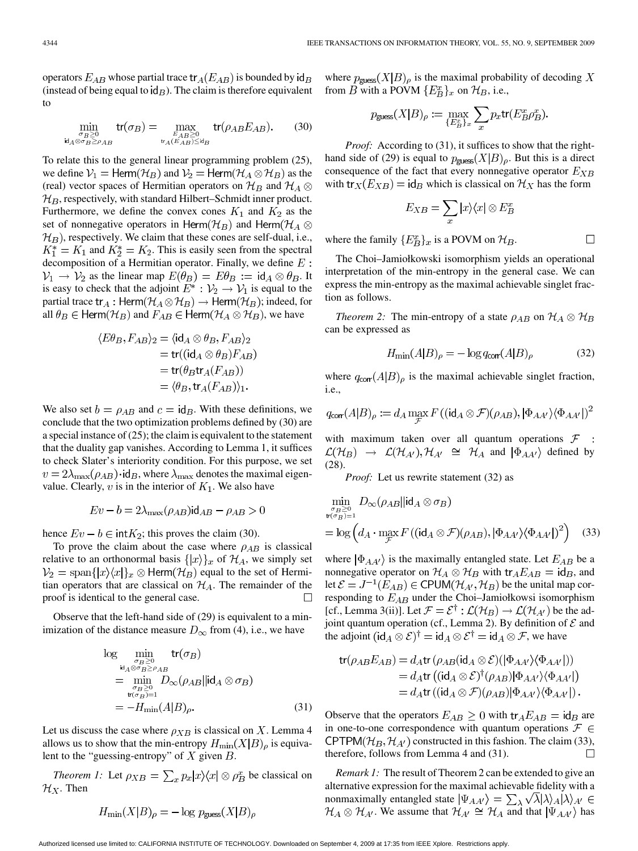operators  $E_{AB}$  whose partial trace  $tr_A(E_{AB})$  is bounded by  $id_B$ (instead of being equal to  $\mathsf{id}_B$ ). The claim is therefore equivalent to

$$
\min_{\substack{\sigma_B \ge 0 \\ \text{Id}_A \otimes \sigma_B \ge \rho_{AB}}} \text{tr}(\sigma_B) = \max_{\substack{E_{AB} \ge 0 \\ \text{tr}_A(E_{AB}) \le \text{Id}_B}} \text{tr}(\rho_{AB} E_{AB}).\tag{30}
$$

To relate this to the general linear programming problem (25), we define  $V_1 = \text{Herm}(\mathcal{H}_B)$  and  $V_2 = \text{Herm}(\mathcal{H}_A \otimes \mathcal{H}_B)$  as the (real) vector spaces of Hermitian operators on  $\mathcal{H}_B$  and  $\mathcal{H}_A \otimes$  $\mathcal{H}_B$ , respectively, with standard Hilbert–Schmidt inner product. Furthermore, we define the convex cones  $K_1$  and  $K_2$  as the set of nonnegative operators in Herm $(\mathcal{H}_B)$  and Herm $(\mathcal{H}_A \otimes$  $\mathcal{H}_B$ ), respectively. We claim that these cones are self-dual, i.e.,  $K_1^* = K_1$  and  $K_2^* = K_2$ . This is easily seen from the spectral decomposition of a Hermitian operator. Finally, we define  $E$ :  $\mathcal{V}_1 \rightarrow \mathcal{V}_2$  as the linear map  $E(\theta_B) = E\theta_B := id_A \otimes \theta_B$ . It is easy to check that the adjoint  $E^* : \mathcal{V}_2 \to \mathcal{V}_1$  is equal to the partial trace  $tr_A$ : Herm $(\mathcal{H}_A \otimes \mathcal{H}_B) \rightarrow$  Herm $(\mathcal{H}_B)$ ; indeed, for all  $\theta_B \in \text{Herm}(\mathcal{H}_B)$  and  $F_{AB} \in \text{Herm}(\mathcal{H}_A \otimes \mathcal{H}_B)$ , we have

$$
\langle E\theta_B, F_{AB}\rangle_2 = \langle id_A \otimes \theta_B, F_{AB}\rangle_2
$$
  
= tr((id<sub>A</sub> \otimes \theta<sub>B</sub>)F<sub>AB</sub>)  
= tr(\theta<sub>B</sub>tr<sub>A</sub>(F<sub>AB</sub>))  
= \langle \theta<sub>B</sub>, tr<sub>A</sub>(F<sub>AB</sub>)\rangle<sub>1</sub>.

We also set  $b = \rho_{AB}$  and  $c = id_B$ . With these definitions, we conclude that the two optimization problems defined by (30) are a special instance of (25); the claim is equivalent to the statement that the duality gap vanishes. According to Lemma 1, it suffices to check Slater's interiority condition. For this purpose, we set  $v = 2\lambda_{\text{max}}(\rho_{AB}) \cdot \text{id}_{B}$ , where  $\lambda_{\text{max}}$  denotes the maximal eigenvalue. Clearly, v is in the interior of  $K_1$ . We also have

$$
Ev - b = 2\lambda_{\text{max}}(\rho_{AB})\text{id}_{AB} - \rho_{AB} > 0
$$

hence  $Ev - b \in \text{int}K_2$ ; this proves the claim (30).

To prove the claim about the case where  $\rho_{AB}$  is classical relative to an orthonormal basis  $\{|x\rangle\}_x$  of  $\mathcal{H}_A$ , we simply set  $\mathcal{V}_2 = \text{span}\{|x\rangle\langle x|\}_x \otimes \text{Herm}(\mathcal{H}_B)$  equal to the set of Hermitian operators that are classical on  $\mathcal{H}_A$ . The remainder of the proof is identical to the general case.  $\Box$ 

Observe that the left-hand side of (29) is equivalent to a minimization of the distance measure  $D_{\infty}$  from (4), i.e., we have

$$
\log \min_{\substack{\sigma_B \geq 0 \\ \text{id}_A \otimes \sigma_B \geq \rho_{AB} \\ \text{min} \\ \sigma_B \geq 0}} \text{tr}(\sigma_B)
$$
\n
$$
= \min_{\substack{\sigma_B \geq 0 \\ \text{tr}(\sigma_B) = 1}} D_{\infty}(\rho_{AB} || \text{id}_A \otimes \sigma_B)
$$
\n
$$
= -H_{\min}(A|B)_{\rho}.
$$
\n(31)

Let us discuss the case where  $\rho_{XB}$  is classical on X. Lemma 4 allows us to show that the min-entropy  $H_{\text{min}}(X|B)_{\rho}$  is equivalent to the "guessing-entropy" of  $X$  given  $B$ .

*Theorem 1:* Let  $\rho_{XB} = \sum_x p_x |x\rangle\langle x| \otimes \rho_B^x$  be classical on  $\mathcal{H}_X$ . Then

$$
H_{\min}(X|B)_{\rho} = -\log p_{\text{guess}}(X|B)_{\rho}
$$

where  $p_{\text{guess}}(X|B)_{\rho}$  is the maximal probability of decoding X from B with a POVM  $\{E^x_B\}_x$  on  $\mathcal{H}_B$ , i.e.,

$$
p_{\text{guess}}(X|B)_{\rho} := \max_{\{E_B^x\}_x} \sum_x p_x \text{tr}(E_B^x \rho_B^x).
$$

*Proof:* According to (31), it suffices to show that the righthand side of (29) is equal to  $p_{\text{guess}}(X|B)_{\rho}$ . But this is a direct consequence of the fact that every nonnegative operator  $E_{XB}$ with tr<sub>X</sub>( $E_{XB}$ ) = id<sub>B</sub> which is classical on  $\mathcal{H}_X$  has the form

$$
E_{XB} = \sum_{x} |x\rangle\langle x| \otimes E_B^x
$$

where the family  $\{E^x_B\}_x$  is a POVM on  $\mathcal{H}_B$ .

J

The Choi–Jamiołkowski isomorphism yields an operational interpretation of the min-entropy in the general case. We can express the min-entropy as the maximal achievable singlet fraction as follows.

*Theorem 2:* The min-entropy of a state  $\rho_{AB}$  on  $\mathcal{H}_A \otimes \mathcal{H}_B$ can be expressed as

$$
H_{\min}(A|B)_{\rho} = -\log q_{\text{corr}}(A|B)_{\rho} \tag{32}
$$

 $\Box$ 

where  $q_{\text{corr}}(A|B)_{\rho}$  is the maximal achievable singlet fraction, i.e.

$$
q_{\text{corr}}(A|B)_{\rho} := d_A \max_{\mathcal{F}} F((\text{id}_A \otimes \mathcal{F})(\rho_{AB}), |\Phi_{AA'}\rangle \langle \Phi_{AA'}|)^2
$$

with maximum taken over all quantum operations  $\mathcal F$  :  $\mathcal{L}(\mathcal{H}_B) \rightarrow \mathcal{L}(\mathcal{H}_{A'}, \mathcal{H}_{A'} \cong \mathcal{H}_A$  and  $|\Phi_{AA'}\rangle$  defined by (28).

*Proof:* Let us rewrite statement (32) as

$$
\min_{\substack{\sigma_B \geq 0 \\ \text{tr}(\sigma_B)=1}} D_{\infty}(\rho_{AB}||\text{id}_A \otimes \sigma_B)
$$
\n
$$
= \log \left( d_A \cdot \max_{\mathcal{F}} F\left( (\text{id}_A \otimes \mathcal{F})(\rho_{AB}), |\Phi_{AA'}\rangle \langle \Phi_{AA'}|^{2} \right) \right) \tag{33}
$$

where  $|\Phi_{AA'}\rangle$  is the maximally entangled state. Let  $E_{AB}$  be a nonnegative operator on  $\mathcal{H}_A \otimes \mathcal{H}_B$  with  $\text{tr}_A E_{AB} = \text{id}_B$ , and let  $\mathcal{E} = J^{-1}(E_{AB}) \in \text{CPUM}(\mathcal{H}_{A'}, \mathcal{H}_{B})$  be the unital map corresponding to  $E_{AB}$  under the Choi–Jamiołkowsi isomorphism [cf., Lemma 3(ii)]. Let  $\mathcal{F} = \mathcal{E}^{\dagger} : \mathcal{L}(\mathcal{H}_{B}) \to \mathcal{L}(\mathcal{H}_{A'})$  be the adjoint quantum operation (cf., Lemma 2). By definition of  $\mathcal E$  and the adjoint  $(id_A \otimes \mathcal{E})^{\dagger} = id_A \otimes \mathcal{E}^{\dagger} = id_A \otimes \mathcal{F}$ , we have

tr(
$$
\rho_{AB}E_{AB}
$$
) =  $d_{A}$ tr( $\rho_{AB}$ (id<sub>A</sub>  $\otimes$   $\mathcal{E}$ )( $|\Phi_{AA'}\rangle\langle\Phi_{AA'}|$ ))  
=  $d_{A}$ tr((id<sub>A</sub>  $\otimes$   $\mathcal{E}$ )<sup>†</sup>( $\rho_{AB}$ ) $|\Phi_{AA'}\rangle\langle\Phi_{AA'}|$ )  
=  $d_{A}$ tr((id<sub>A</sub>  $\otimes$   $\mathcal{F}$ )( $\rho_{AB}$ ) $|\Phi_{AA'}\rangle\langle\Phi_{AA'}|$ ).

Observe that the operators  $E_{AB} \geq 0$  with  $\text{tr}_A E_{AB} = \text{id}_B$  are in one-to-one correspondence with quantum operations  $\mathcal{F} \in$ CPTPM( $\mathcal{H}_B$ ,  $\mathcal{H}_{A'}$ ) constructed in this fashion. The claim (33), therefore, follows from Lemma 4 and (31).  $\Box$ 

*Remark 1:* The result of Theorem 2 can be extended to give an alternative expression for the maximal achievable fidelity with a nonmaximally entangled state  $|\Psi_{AA'}\rangle = \sum_{\lambda} \sqrt{\lambda} |\lambda\rangle_A |\lambda\rangle_{A'} \in$  $\mathcal{H}_A \otimes \mathcal{H}_{A'}$ . We assume that  $\mathcal{H}_{A'} \cong \mathcal{H}_A$  and that  $|\Psi_{AA'}\rangle$  has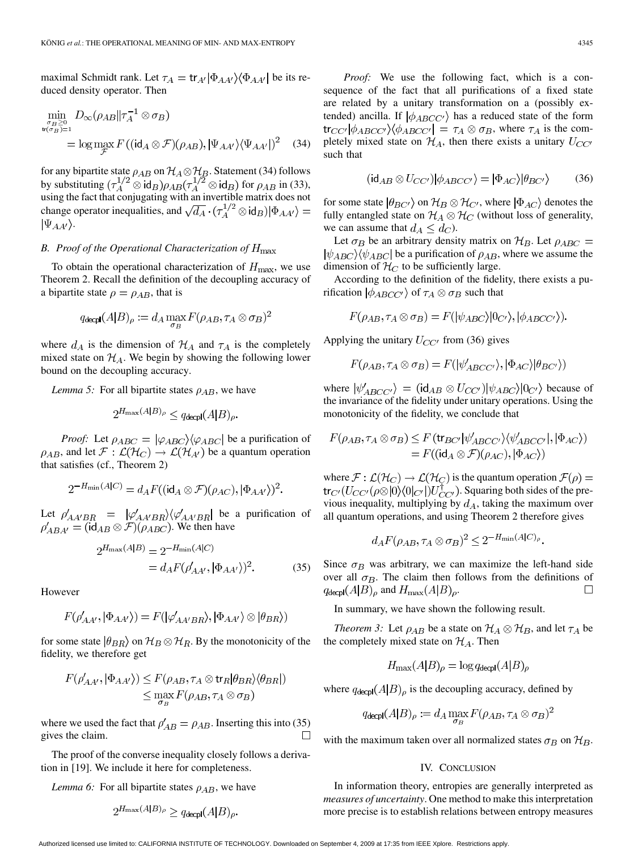maximal Schmidt rank. Let  $\tau_A = \text{tr}_{A'} |\Phi_{AA'}\rangle \langle \Phi_{AA'}|$  be its reduced density operator. Then

$$
\min_{\substack{\sigma_B \geq 0 \\ \text{tr}(\sigma_B)=1}} D_{\infty}(\rho_{AB} || \tau_A^{-1} \otimes \sigma_B)
$$
\n
$$
= \log \max_{\mathcal{F}} F((\text{id}_A \otimes \mathcal{F})(\rho_{AB}), |\Psi_{AA'}\rangle \langle \Psi_{AA'}|)^2 \quad (34)
$$

for any bipartite state  $\rho_{AB}$  on  $\mathcal{H}_A \otimes \mathcal{H}_B$ . Statement (34) follows by substituting  $(\tau_A^{1/2} \otimes id_B)\rho_{AB}(\tau_A^{1/2} \otimes id_B)$  for  $\rho_{AB}$  in (33), using the fact that conjugating with an invertible matrix does not change operator inequalities, and  $\sqrt{d_A} \cdot (\tau_A^{1/2} \otimes id_B)|\Phi_{AA'}\rangle =$  $|\Psi_{AA'}\rangle.$ 

## *B. Proof of the Operational Characterization of*

To obtain the operational characterization of  $H_{\text{max}}$ , we use Theorem 2. Recall the definition of the decoupling accuracy of a bipartite state  $\rho = \rho_{AB}$ , that is

$$
q_{\mathsf{decpl}}(A|B)_{\rho} := d_A \max_{\sigma_B} F(\rho_{AB}, \tau_A \otimes \sigma_B)^2
$$

where  $d_A$  is the dimension of  $\mathcal{H}_A$  and  $\tau_A$  is the completely mixed state on  $\mathcal{H}_A$ . We begin by showing the following lower bound on the decoupling accuracy.

*Lemma 5:* For all bipartite states  $\rho_{AB}$ , we have

$$
2^{H_{\max}(A|B)_{\rho}} \leq q_{\text{decol}}(A|B)_{\rho}
$$

*Proof:* Let  $\rho_{ABC} = |\varphi_{ABC}\rangle\langle\varphi_{ABC}|$  be a purification of  $\rho_{AB}$ , and let  $\mathcal{F} : \mathcal{L}(\mathcal{H}_{C}) \to \mathcal{L}(\mathcal{H}_{A'})$  be a quantum operation that satisfies (cf., Theorem 2)

$$
2^{-H_{\min}(A|C)} = d_A F((\mathrm{id}_A \otimes \mathcal{F})(\rho_{AC}), |\Phi_{AA'}\rangle)^2.
$$

Let  $\rho'_{AA'BB}$  =  $|\varphi'_{AA'BB}\rangle\langle\varphi'_{AA'BB}|$  be a purification of . We then have

$$
2^{H_{\max}(A|B)} = 2^{-H_{\min}(A|C)} = d_A F(\rho'_{AA'}, |\Phi_{AA'}\rangle)^2.
$$
 (35)

However

$$
F(\rho'_{AA'}, |\Phi_{AA'}\rangle) = F(|\varphi'_{AA'BR}\rangle, |\Phi_{AA'}\rangle \otimes |\theta_{BR}\rangle)
$$

for some state  $|\theta_{BR}\rangle$  on  $\mathcal{H}_B \otimes \mathcal{H}_R$ . By the monotonicity of the fidelity, we therefore get

$$
F(\rho'_{AA'}, |\Phi_{AA'}\rangle) \le F(\rho_{AB}, \tau_A \otimes \text{tr}_R |\theta_{BR}\rangle \langle \theta_{BR}|)
$$
  

$$
\le \max_{\pi_P} F(\rho_{AB}, \tau_A \otimes \sigma_B)
$$

where we used the fact that  $\rho'_{AB} = \rho_{AB}$ . Inserting this into (35) gives the claim.  $\Box$ 

The proof of the converse inequality closely follows a derivation in [19]. We include it here for completeness.

*Lemma 6:* For all bipartite states  $\rho_{AB}$ , we have

$$
2^{H_{\max}(A|B)_{\rho}} \geq q_{\text{decpl}}(A|B)_{\rho}
$$

*Proof:* We use the following fact, which is a consequence of the fact that all purifications of a fixed state are related by a unitary transformation on a (possibly extended) ancilla. If  $|\phi_{ABCC'}\rangle$  has a reduced state of the form  $\text{tr}_{CC'}|\phi_{ABCC'}\rangle\langle\phi_{ABCC'}| = \tau_A \otimes \sigma_B$ , where  $\tau_A$  is the completely mixed state on  $\mathcal{H}_A$ , then there exists a unitary  $U_{CC'}$ such that

$$
(\mathrm{id}_{AB} \otimes U_{CC'})|\phi_{ABCC'}\rangle = |\Phi_{AC}\rangle|\theta_{BC'}\rangle \tag{36}
$$

for some state  $|\theta_{BC'}\rangle$  on  $\mathcal{H}_B \otimes \mathcal{H}_{C'}$ , where  $|\Phi_{AC}\rangle$  denotes the fully entangled state on  $\mathcal{H}_A\otimes\mathcal{H}_C$  (without loss of generality, we can assume that  $d_A \leq d_C$ ).

Let  $\sigma_B$  be an arbitrary density matrix on  $\mathcal{H}_B$ . Let  $\rho_{ABC}$  =  $|\psi_{ABC}\rangle\langle\psi_{ABC}|$  be a purification of  $\rho_{AB}$ , where we assume the dimension of  $\mathcal{H}_C$  to be sufficiently large.

According to the definition of the fidelity, there exists a purification  $|\phi_{ABCC'}\rangle$  of  $\tau_A \otimes \sigma_B$  such that

$$
F(\rho_{AB}, \tau_A \otimes \sigma_B) = F(|\psi_{ABC}\rangle|0_{C'}\rangle, |\phi_{ABC C'}\rangle).
$$

Applying the unitary  $U_{CC'}$  from (36) gives

$$
F(\rho_{AB}, \tau_A \otimes \sigma_B) = F(|\psi'_{ABCC'}\rangle, |\Phi_{AC}\rangle|\theta_{BC'}\rangle)
$$

where  $|\psi'_{ABCC'}\rangle = (id_{AB} \otimes U_{CC'})|\psi_{ABC}\rangle|0_{C'}\rangle$  because of the invariance of the fidelity under unitary operations. Using the monotonicity of the fidelity, we conclude that

$$
F(\rho_{AB}, \tau_A \otimes \sigma_B) \leq F(\text{tr}_{BC'}|\psi'_{ABCC'}\rangle\langle\psi'_{ABCC'}|, |\Phi_{AC}\rangle)
$$
  
=  $F((\text{id}_A \otimes \mathcal{F})(\rho_{AC}), |\Phi_{AC}\rangle)$ 

where  $\mathcal{F} : \mathcal{L}(\mathcal{H}_C) \to \mathcal{L}(\mathcal{H}_C)$  is the quantum operation  $\mathcal{F}(\rho) =$  $tr_{C'}(U_{CC'}(\rho\otimes|0\rangle\langle0|_{C'})U_{CC'}^{\dagger})$ . Squaring both sides of the previous inequality, multiplying by  $d_A$ , taking the maximum over all quantum operations, and using Theorem 2 therefore gives

$$
l_A F(\rho_{AB}, \tau_A \otimes \sigma_B)^2 \leq 2^{-H_{\min}(A|C)_{\rho}}.
$$

Since  $\sigma_B$  was arbitrary, we can maximize the left-hand side over all  $\sigma_B$ . The claim then follows from the definitions of  $q_{\text{decpl}}(A|B)_{\rho}$  and  $H_{\text{max}}(A|B)_{\rho}$ .  $\Box$ 

In summary, we have shown the following result.

*Theorem 3:* Let  $\rho_{AB}$  be a state on  $\mathcal{H}_A \otimes \mathcal{H}_B$ , and let  $\tau_A$  be the completely mixed state on  $\mathcal{H}_A$ . Then

$$
H_{\text{max}}(A|B)_{\rho} = \log q_{\text{decpl}}(A|B)_{\rho}
$$

where  $q_{\text{decpl}}(A|B)_{\rho}$  is the decoupling accuracy, defined by

$$
q_{\mathsf{decpl}}(A|B)_{\rho} := d_A \max_{\sigma_B} F(\rho_{AB}, \tau_A \otimes \sigma_B)^2
$$

with the maximum taken over all normalized states  $\sigma_B$  on  $\mathcal{H}_B$ .

#### IV. CONCLUSION

In information theory, entropies are generally interpreted as *measures of uncertainty*. One method to make this interpretation more precise is to establish relations between entropy measures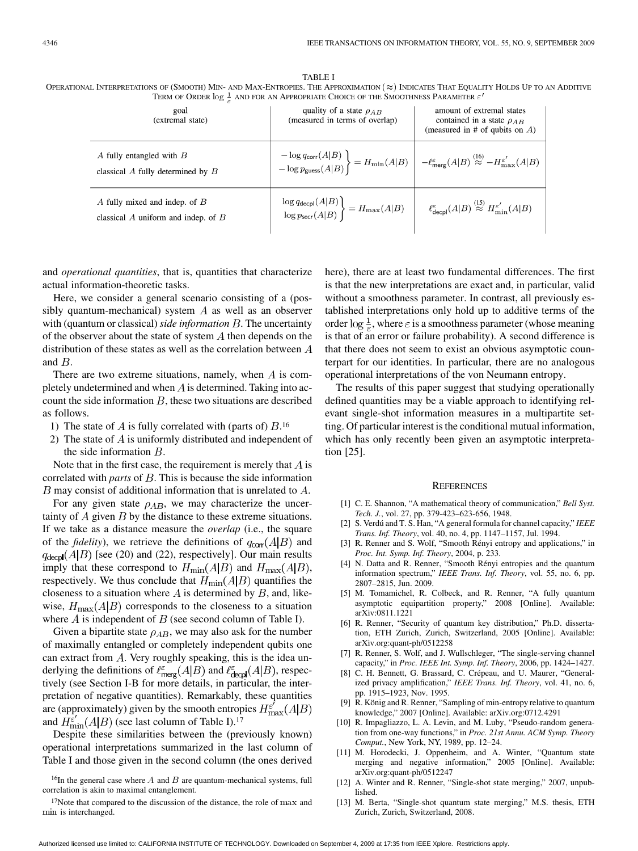| <b>TABLE I</b>                                                                                                                                  |
|-------------------------------------------------------------------------------------------------------------------------------------------------|
| OPERATIONAL INTERPRETATIONS OF (SMOOTH) MIN- AND MAX-ENTROPIES. THE APPROXIMATION ( $\approx$ ) INDICATES THAT EOUALITY HOLDS UP TO AN ADDITIVE |
| TERM OF ORDER $\log \frac{1}{2}$ AND FOR AN APPROPRIATE CHOICE OF THE SMOOTHNESS PARAMETER $\varepsilon'$                                       |

| goal<br>(extremal state)                                                                    | quality of a state $\rho_{AB}$<br>(measured in terms of overlap)                                                                                                                                                                  | amount of extremal states<br>contained in a state $\rho_{AB}$<br>(measured in # of qubits on $A$ )       |
|---------------------------------------------------------------------------------------------|-----------------------------------------------------------------------------------------------------------------------------------------------------------------------------------------------------------------------------------|----------------------------------------------------------------------------------------------------------|
| $\overline{A}$ fully entangled with $\overline{B}$<br>classical $A$ fully determined by $B$ | $\begin{aligned} &-\log q_{\mathsf{corr}}(A B)\\ &-\log p_{\mathsf{guess}}(A B)\end{aligned}\bigg\}\ = H_{\min}(A B)\ \ \bigg \ \ -\ell_{\mathsf{merg}}^{\varepsilon}(A B)\overset{(16)}{\approx}\ -H_{\max}^{\varepsilon'}(A B)$ |                                                                                                          |
| A fully mixed and indep. of $B$<br>classical $A$ uniform and indep. of $B$                  | $\left.\frac{\log q_{\mathsf{decpl}}(A B)}{\log p_{\mathsf{secr}}(A B)}\right\} = H_{\max}(A B)$                                                                                                                                  | $\ell_{\sf decpl}^{\varepsilon}(A B) \stackrel{\text{(15)}}{\approx} H_{\text{min}}^{\varepsilon'}(A B)$ |

and *operational quantities*, that is, quantities that characterize actual information-theoretic tasks.

Here, we consider a general scenario consisting of a (possibly quantum-mechanical) system  $A$  as well as an observer with (quantum or classical) *side information* B. The uncertainty of the observer about the state of system  $A$  then depends on the distribution of these states as well as the correlation between  $A$ and  $B$ .

There are two extreme situations, namely, when  $A$  is completely undetermined and when  $\vec{A}$  is determined. Taking into account the side information  $B$ , these two situations are described as follows.

- 1) The state of A is fully correlated with (parts of)  $B<sup>16</sup>$
- 2) The state of  $\vec{A}$  is uniformly distributed and independent of the side information  $B$ .

Note that in the first case, the requirement is merely that  $A$  is correlated with *parts* of  $B$ . This is because the side information  $B$  may consist of additional information that is unrelated to  $A$ .

For any given state  $\rho_{AB}$ , we may characterize the uncertainty of  $A$  given  $B$  by the distance to these extreme situations. If we take as a distance measure the *overlap* (i.e., the square of the *fidelity*), we retrieve the definitions of  $q_{\text{corr}}(A|B)$  and  $q_{\text{decpl}}(A|B)$  [see (20) and (22), respectively]. Our main results imply that these correspond to  $H_{\text{min}}(A|B)$  and  $H_{\text{max}}(A|B)$ , respectively. We thus conclude that  $H_{\text{min}}(A|B)$  quantifies the closeness to a situation where  $A$  is determined by  $B$ , and, likewise,  $H_{\text{max}}(A|B)$  corresponds to the closeness to a situation where  $\vec{A}$  is independent of  $\vec{B}$  (see second column of Table I).

Given a bipartite state  $\rho_{AB}$ , we may also ask for the number of maximally entangled or completely independent qubits one can extract from  $A$ . Very roughly speaking, this is the idea underlying the definitions of  $\ell_{\text{merg}}^{\epsilon}(A|B)$  and  $\ell_{\text{decpl}}^{\epsilon}(A|B)$ , respectively (see Section I-B for more details, in particular, the interpretation of negative quantities). Remarkably, these quantities are (approximately) given by the smooth entropies  $H_{\text{max}}^{\varepsilon'}(A|B)$ and  $H_{\text{min}}^{\varepsilon'}(A|B)$  (see last column of Table I).<sup>17</sup>

Despite these similarities between the (previously known) operational interpretations summarized in the last column of Table I and those given in the second column (the ones derived

 $16$ In the general case where  $A$  and  $B$  are quantum-mechanical systems, full correlation is akin to maximal entanglement.

 $17$ Note that compared to the discussion of the distance, the role of  $\max$  and min is interchanged.

here), there are at least two fundamental differences. The first is that the new interpretations are exact and, in particular, valid without a smoothness parameter. In contrast, all previously established interpretations only hold up to additive terms of the order  $\log \frac{1}{\epsilon}$ , where  $\epsilon$  is a smoothness parameter (whose meaning is that of an error or failure probability). A second difference is that there does not seem to exist an obvious asymptotic counterpart for our identities. In particular, there are no analogous operational interpretations of the von Neumann entropy.

The results of this paper suggest that studying operationally defined quantities may be a viable approach to identifying relevant single-shot information measures in a multipartite setting. Of particular interest is the conditional mutual information, which has only recently been given an asymptotic interpretation [25].

#### **REFERENCES**

- [1] C. E. Shannon, "A mathematical theory of communication," *Bell Syst. Tech. J.*, vol. 27, pp. 379-423–623-656, 1948.
- [2] S. Verdú and T. S. Han, "A general formula for channel capacity," *IEEE Trans. Inf. Theory*, vol. 40, no. 4, pp. 1147–1157, Jul. 1994.
- [3] R. Renner and S. Wolf, "Smooth Rényi entropy and applications," in *Proc. Int. Symp. Inf. Theory*, 2004, p. 233.
- [4] N. Datta and R. Renner, "Smooth Rényi entropies and the quantum information spectrum," *IEEE Trans. Inf. Theory*, vol. 55, no. 6, pp. 2807–2815, Jun. 2009.
- [5] M. Tomamichel, R. Colbeck, and R. Renner, "A fully quantum asymptotic equipartition property," 2008 [Online]. Available: arXiv:0811.1221
- [6] R. Renner, "Security of quantum key distribution," Ph.D. dissertation, ETH Zurich, Zurich, Switzerland, 2005 [Online]. Available: arXiv.org:quant-ph/0512258
- [7] R. Renner, S. Wolf, and J. Wullschleger, "The single-serving channel capacity," in *Proc. IEEE Int. Symp. Inf. Theory*, 2006, pp. 1424–1427.
- [8] C. H. Bennett, G. Brassard, C. Crépeau, and U. Maurer, "Generalized privacy amplification," *IEEE Trans. Inf. Theory*, vol. 41, no. 6, pp. 1915–1923, Nov. 1995.
- R. König and R. Renner, "Sampling of min-entropy relative to quantum knowledge," 2007 [Online]. Available: arXiv.org:0712.4291
- [10] R. Impagliazzo, L. A. Levin, and M. Luby, "Pseudo-random generation from one-way functions," in *Proc. 21st Annu. ACM Symp. Theory Comput.*, New York, NY, 1989, pp. 12–24.
- [11] M. Horodecki, J. Oppenheim, and A. Winter, "Quantum state merging and negative information," 2005 [Online]. Available: arXiv.org:quant-ph/0512247
- [12] A. Winter and R. Renner, "Single-shot state merging," 2007, unpublished.
- [13] M. Berta, "Single-shot quantum state merging," M.S. thesis, ETH Zurich, Zurich, Switzerland, 2008.